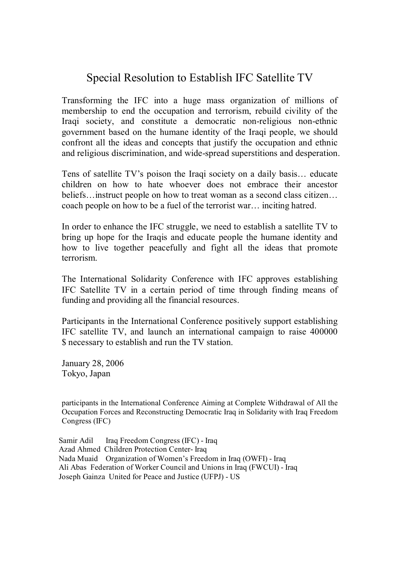## Special Resolution to Establish IFC Satellite TV

Transforming the IFC into a huge mass organization of millions of membership to end the occupation and terrorism, rebuild civility of the Iraqi society, and constitute a democratic non-religious non-ethnic government based on the humane identity of the Iraqi people, we should confront all the ideas and concepts that justify the occupation and ethnic and religious discrimination, and wide-spread superstitions and desperation.

Tens of satellite TV's poison the Iraqi society on a daily basis… educate children on how to hate whoever does not embrace their ancestor beliefs…instruct people on how to treat woman as a second class citizen… coach people on how to be a fuel of the terrorist war… inciting hatred.

In order to enhance the IFC struggle, we need to establish a satellite TV to bring up hope for the Iraqis and educate people the humane identity and how to live together peacefully and fight all the ideas that promote terrorism.

The International Solidarity Conference with IFC approves establishing IFC Satellite TV in a certain period of time through finding means of funding and providing all the financial resources.

Participants in the International Conference positively support establishing IFC satellite TV, and launch an international campaign to raise 400000 \$ necessary to establish and run the TV station.

January 28, 2006 Tokyo, Japan

participants in the International Conference Aiming at Complete Withdrawal of All the Occupation Forces and Reconstructing Democratic Iraq in Solidarity with Iraq Freedom Congress (IFC)

Samir Adil Iraq Freedom Congress (IFC) - Iraq Azad Ahmed Children Protection Center- Iraq Nada Muaid Organization of Women's Freedom in Iraq (OWFI) - Iraq Ali Abas Federation of Worker Council and Unions in Iraq (FWCUI) - Iraq Joseph Gainza United for Peace and Justice (UFPJ) - US